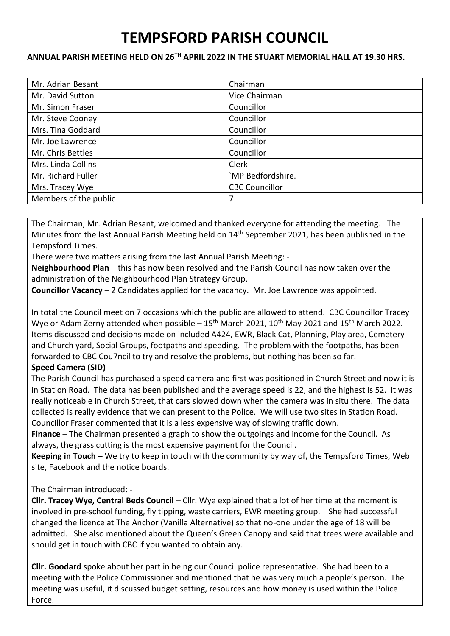# **TEMPSFORD PARISH COUNCIL**

#### **ANNUAL PARISH MEETING HELD ON 26TH APRIL 2022 IN THE STUART MEMORIAL HALL AT 19.30 HRS.**

| Mr. Adrian Besant     | Chairman              |
|-----------------------|-----------------------|
| Mr. David Sutton      | Vice Chairman         |
| Mr. Simon Fraser      | Councillor            |
| Mr. Steve Cooney      | Councillor            |
| Mrs. Tina Goddard     | Councillor            |
| Mr. Joe Lawrence      | Councillor            |
| Mr. Chris Bettles     | Councillor            |
| Mrs. Linda Collins    | Clerk                 |
| Mr. Richard Fuller    | `MP Bedfordshire.     |
| Mrs. Tracey Wye       | <b>CBC Councillor</b> |
| Members of the public | 7                     |

The Chairman, Mr. Adrian Besant, welcomed and thanked everyone for attending the meeting. The Minutes from the last Annual Parish Meeting held on 14<sup>th</sup> September 2021, has been published in the Tempsford Times.

There were two matters arising from the last Annual Parish Meeting: -

**Neighbourhood Plan** – this has now been resolved and the Parish Council has now taken over the administration of the Neighbourhood Plan Strategy Group.

**Councillor Vacancy** – 2 Candidates applied for the vacancy. Mr. Joe Lawrence was appointed.

In total the Council meet on 7 occasions which the public are allowed to attend. CBC Councillor Tracey Wye or Adam Zerny attended when possible  $-15<sup>th</sup>$  March 2021, 10<sup>th</sup> May 2021 and 15<sup>th</sup> March 2022. Items discussed and decisions made on included A424, EWR, Black Cat, Planning, Play area, Cemetery and Church yard, Social Groups, footpaths and speeding. The problem with the footpaths, has been forwarded to CBC Cou7ncil to try and resolve the problems, but nothing has been so far.

### **Speed Camera (SID)**

The Parish Council has purchased a speed camera and first was positioned in Church Street and now it is in Station Road. The data has been published and the average speed is 22, and the highest is 52. It was really noticeable in Church Street, that cars slowed down when the camera was in situ there. The data collected is really evidence that we can present to the Police. We will use two sites in Station Road. Councillor Fraser commented that it is a less expensive way of slowing traffic down.

**Finance** – The Chairman presented a graph to show the outgoings and income for the Council. As always, the grass cutting is the most expensive payment for the Council.

**Keeping in Touch –** We try to keep in touch with the community by way of, the Tempsford Times, Web site, Facebook and the notice boards.

## The Chairman introduced: -

**Cllr. Tracey Wye, Central Beds Council** – Cllr. Wye explained that a lot of her time at the moment is involved in pre-school funding, fly tipping, waste carriers, EWR meeting group. She had successful changed the licence at The Anchor (Vanilla Alternative) so that no-one under the age of 18 will be admitted. She also mentioned about the Queen's Green Canopy and said that trees were available and should get in touch with CBC if you wanted to obtain any.

**Cllr. Goodard** spoke about her part in being our Council police representative. She had been to a meeting with the Police Commissioner and mentioned that he was very much a people's person. The meeting was useful, it discussed budget setting, resources and how money is used within the Police Force.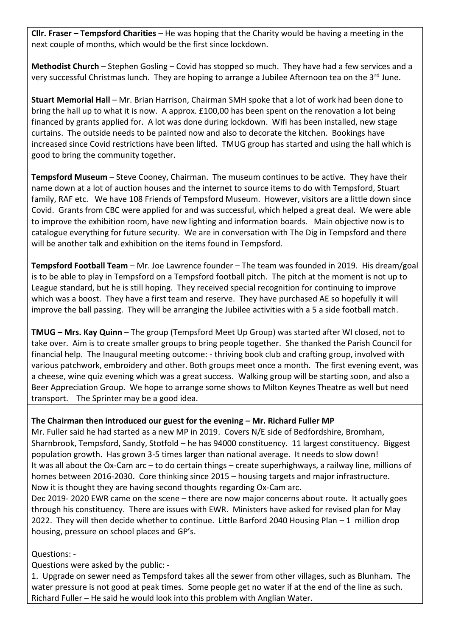**Cllr. Fraser – Tempsford Charities** – He was hoping that the Charity would be having a meeting in the next couple of months, which would be the first since lockdown.

**Methodist Church** – Stephen Gosling – Covid has stopped so much. They have had a few services and a very successful Christmas lunch. They are hoping to arrange a Jubilee Afternoon tea on the  $3^{rd}$  June.

**Stuart Memorial Hall** – Mr. Brian Harrison, Chairman SMH spoke that a lot of work had been done to bring the hall up to what it is now. A approx. £100,00 has been spent on the renovation a lot being financed by grants applied for. A lot was done during lockdown. Wifi has been installed, new stage curtains. The outside needs to be painted now and also to decorate the kitchen. Bookings have increased since Covid restrictions have been lifted. TMUG group has started and using the hall which is good to bring the community together.

**Tempsford Museum** – Steve Cooney, Chairman. The museum continues to be active. They have their name down at a lot of auction houses and the internet to source items to do with Tempsford, Stuart family, RAF etc. We have 108 Friends of Tempsford Museum. However, visitors are a little down since Covid. Grants from CBC were applied for and was successful, which helped a great deal. We were able to improve the exhibition room, have new lighting and information boards. Main objective now is to catalogue everything for future security. We are in conversation with The Dig in Tempsford and there will be another talk and exhibition on the items found in Tempsford.

**Tempsford Football Team** – Mr. Joe Lawrence founder – The team was founded in 2019. His dream/goal is to be able to play in Tempsford on a Tempsford football pitch. The pitch at the moment is not up to League standard, but he is still hoping. They received special recognition for continuing to improve which was a boost. They have a first team and reserve. They have purchased AE so hopefully it will improve the ball passing. They will be arranging the Jubilee activities with a 5 a side football match.

**TMUG – Mrs. Kay Quinn** – The group (Tempsford Meet Up Group) was started after WI closed, not to take over. Aim is to create smaller groups to bring people together. She thanked the Parish Council for financial help. The Inaugural meeting outcome: - thriving book club and crafting group, involved with various patchwork, embroidery and other. Both groups meet once a month. The first evening event, was a cheese, wine quiz evening which was a great success. Walking group will be starting soon, and also a Beer Appreciation Group. We hope to arrange some shows to Milton Keynes Theatre as well but need transport. The Sprinter may be a good idea.

### **The Chairman then introduced our guest for the evening – Mr. Richard Fuller MP**

Mr. Fuller said he had started as a new MP in 2019. Covers N/E side of Bedfordshire, Bromham, Sharnbrook, Tempsford, Sandy, Stotfold – he has 94000 constituency. 11 largest constituency. Biggest population growth. Has grown 3-5 times larger than national average. It needs to slow down! It was all about the Ox-Cam arc – to do certain things – create superhighways, a railway line, millions of homes between 2016-2030. Core thinking since 2015 – housing targets and major infrastructure. Now it is thought they are having second thoughts regarding Ox-Cam arc.

Dec 2019- 2020 EWR came on the scene – there are now major concerns about route. It actually goes through his constituency. There are issues with EWR. Ministers have asked for revised plan for May 2022. They will then decide whether to continue. Little Barford 2040 Housing Plan – 1 million drop housing, pressure on school places and GP's.

Questions: -

Questions were asked by the public: -

1. Upgrade on sewer need as Tempsford takes all the sewer from other villages, such as Blunham. The water pressure is not good at peak times. Some people get no water if at the end of the line as such. Richard Fuller – He said he would look into this problem with Anglian Water.